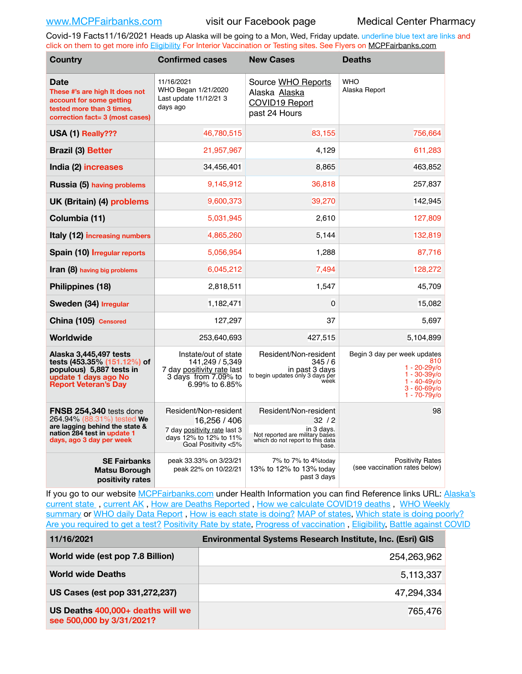Covid-19 Facts11/16/2021 Heads up Alaska will be going to a Mon, Wed, Friday update. underline blue text are links and click on them to get more info [Eligibility](http://dhss.alaska.gov/dph/Epi/id/Pages/COVID-19/VaccineAvailability.aspx) For Interior Vaccination or Testing sites. See Flyers on [MCPFairbanks.com](http://www.MCPFairbanks.com)

| <b>Country</b>                                                                                                                                            | <b>Confirmed cases</b>                                                                                                 | <b>New Cases</b>                                                                                                            | <b>Deaths</b>                                                                                                                       |  |  |
|-----------------------------------------------------------------------------------------------------------------------------------------------------------|------------------------------------------------------------------------------------------------------------------------|-----------------------------------------------------------------------------------------------------------------------------|-------------------------------------------------------------------------------------------------------------------------------------|--|--|
| Date<br>These #'s are high It does not<br>account for some getting<br>tested more than 3 times.<br>correction fact= 3 (most cases)                        | 11/16/2021<br>WHO Began 1/21/2020<br>Last update 11/12/21 3<br>days ago                                                | Source WHO Reports<br>Alaska Alaska<br><b>COVID19 Report</b><br>past 24 Hours                                               | <b>WHO</b><br>Alaska Report                                                                                                         |  |  |
| USA (1) Really???                                                                                                                                         | 46,780,515                                                                                                             | 83,155                                                                                                                      | 756,664                                                                                                                             |  |  |
| <b>Brazil (3) Better</b>                                                                                                                                  | 21,957,967                                                                                                             | 4,129                                                                                                                       | 611,283                                                                                                                             |  |  |
| India (2) increases                                                                                                                                       | 34,456,401                                                                                                             | 8,865                                                                                                                       | 463,852                                                                                                                             |  |  |
| Russia (5) having problems                                                                                                                                | 9,145,912                                                                                                              | 36,818                                                                                                                      | 257,837                                                                                                                             |  |  |
| UK (Britain) (4) problems                                                                                                                                 | 9,600,373                                                                                                              | 39,270                                                                                                                      | 142,945                                                                                                                             |  |  |
| Columbia (11)                                                                                                                                             | 5,031,945                                                                                                              | 2,610                                                                                                                       | 127,809                                                                                                                             |  |  |
| Italy (12) increasing numbers                                                                                                                             | 4,865,260                                                                                                              | 5,144                                                                                                                       | 132,819                                                                                                                             |  |  |
| Spain (10) Irregular reports                                                                                                                              | 5,056,954                                                                                                              | 1,288                                                                                                                       | 87,716                                                                                                                              |  |  |
| Iran (8) having big problems                                                                                                                              | 6,045,212                                                                                                              | 7,494                                                                                                                       | 128,272                                                                                                                             |  |  |
| Philippines (18)                                                                                                                                          | 2,818,511                                                                                                              | 1,547                                                                                                                       | 45,709                                                                                                                              |  |  |
| Sweden (34) Irregular                                                                                                                                     | 1,182,471                                                                                                              | $\Omega$                                                                                                                    | 15,082                                                                                                                              |  |  |
| China (105) Censored                                                                                                                                      | 127,297                                                                                                                | 37                                                                                                                          | 5,697                                                                                                                               |  |  |
| Worldwide                                                                                                                                                 | 253,640,693                                                                                                            | 427,515                                                                                                                     | 5,104,899                                                                                                                           |  |  |
| Alaska 3,445,497 tests<br>tests (453.35% (151.12%) of<br>populous) 5,887 tests in<br>update 1 days ago No<br><b>Report Veteran's Day</b>                  | Instate/out of state<br>141,249 / 5,349<br>7 day positivity rate last<br>3 days from 7.09% to<br>6.99% to 6.85%        | Resident/Non-resident<br>345/6<br>in past 3 days<br>to begin updates only 3 days per<br>wéek                                | Begin 3 day per week updates<br>810<br>$1 - 20 - 29v$ o<br>$1 - 30 - 39y/6$<br>$1 - 40 - 49v$<br>$3 - 60 - 69v$<br>$1 - 70 - 79y/6$ |  |  |
| <b>FNSB 254,340</b> tests done<br>264.94% (88.31%) tested We<br>are lagging behind the state &<br>nation 284 test in update 1<br>days, ago 3 day per week | Resident/Non-resident<br>16,256 / 406<br>7 day positivity rate last 3<br>days 12% to 12% to 11%<br>Goal Positivity <5% | Resident/Non-resident<br>32/2<br>in 3 days.<br>Not reported are military bases<br>which do not report to this data<br>base. |                                                                                                                                     |  |  |
| <b>SE Fairbanks</b><br>Matsu Borough<br>positivity rates                                                                                                  | peak 33.33% on 3/23/21<br>peak 22% on 10/22/21                                                                         | 7% to 7% to 4%today<br>13% to 12% to 13% today<br>past 3 days                                                               | <b>Positivity Rates</b><br>(see vaccination rates below)                                                                            |  |  |

If you go to our website [MCPFairbanks.com](http://www.MCPFairbanks.com) under Health Information you can find Reference links URL: [Alaska's](https://coronavirus-response-alaska-dhss.hub.arcgis.com)  [current state](https://coronavirus-response-alaska-dhss.hub.arcgis.com) , [current AK](http://dhss.alaska.gov/dph/Epi/id/Pages/COVID-19/communications.aspx#cases) , [How are Deaths Reported](http://dhss.alaska.gov/dph/Epi/id/Pages/COVID-19/deathcounts.aspx) , [How we calculate COVID19 deaths](https://coronavirus-response-alaska-dhss.hub.arcgis.com/search?collection=Document&groupIds=41ccb3344ebc4bd682c74073eba21f42) , [WHO Weekly](http://www.who.int)  [summary](http://www.who.int) or [WHO daily Data Report](https://covid19.who.int/table), [How is each state is doing?](https://www.msn.com/en-us/news/us/state-by-state-coronavirus-news/ar-BB13E1PX?fbclid=IwAR0_OBJH7lSyTN3ug_MsOeFnNgB1orTa9OBgilKJ7dhnwlVvHEsptuKkj1c) [MAP of states,](https://www.nationalgeographic.com/science/graphics/graphic-tracking-coronavirus-infections-us?cmpid=org=ngp::mc=crm-email::src=ngp::cmp=editorial::add=SpecialEdition_20210305&rid=B9A6DF5992658E8E35CE023113CFEA4C) [Which state is doing poorly?](https://bestlifeonline.com/covid-outbreak-your-state/?utm_source=nsltr&utm_medium=email&utm_content=covid-outbreak-your-state&utm_campaign=launch) [Are you required to get a test?](http://dhss.alaska.gov/dph/Epi/id/SiteAssets/Pages/HumanCoV/Whattodoafteryourtest.pdf) [Positivity Rate by state](https://coronavirus.jhu.edu/testing/individual-states/alaska), Progress of vaccination, [Eligibility,](http://dhss.alaska.gov/dph/Epi/id/Pages/COVID-19/VaccineAvailability.aspx) [Battle against COVID](https://www.nationalgeographic.com/science/graphics/graphic-tracking-coronavirus-infections-us?cmpid=org=ngp::mc=crm-email::src=ngp::cmp=editorial::add=SpecialEdition_20210219&rid=B9A6DF5992658E8E35CE023113CFEA4C)

| 11/16/2021                                                     | <b>Environmental Systems Research Institute, Inc. (Esri) GIS</b> |
|----------------------------------------------------------------|------------------------------------------------------------------|
| World wide (est pop 7.8 Billion)                               | 254,263,962                                                      |
| <b>World wide Deaths</b>                                       | 5,113,337                                                        |
| US Cases (est pop 331,272,237)                                 | 47,294,334                                                       |
| US Deaths 400,000+ deaths will we<br>see 500,000 by 3/31/2021? | 765,476                                                          |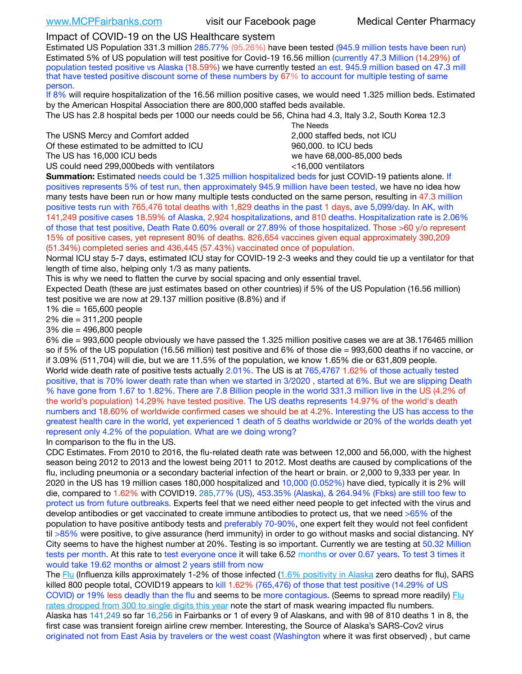# Impact of COVID-19 on the US Healthcare system

Estimated US Population 331.3 million 285.77% (95.26%) have been tested (945.9 million tests have been run) Estimated 5% of US population will test positive for Covid-19 16.56 million (currently 47.3 Million (14.29%) of population tested positive vs Alaska (18.59%) we have currently tested an est. 945.9 million based on 47.3 mill that have tested positive discount some of these numbers by 67% to account for multiple testing of same person.

If 8% will require hospitalization of the 16.56 million positive cases, we would need 1.325 million beds. Estimated by the American Hospital Association there are 800,000 staffed beds available.

The US has 2.8 hospital beds per 1000 our needs could be 56, China had 4.3, Italy 3.2, South Korea 12.3

The USNS Mercy and Comfort added 2,000 staffed beds, not ICU Of these estimated to be admitted to ICU 860,000. to ICU beds The US has 16,000 ICU beds we have 68,000-85,000 beds

US could need 299,000 beds with ventilators  $\leq 16,000$  ventilators

 The Needs

**Summation:** Estimated needs could be 1.325 million hospitalized beds for just COVID-19 patients alone. If positives represents 5% of test run, then approximately 945.9 million have been tested, we have no idea how many tests have been run or how many multiple tests conducted on the same person, resulting in 47.3 million positive tests run with 765,476 total deaths with 1,829 deaths in the past 1 days, ave 5,099/day. In AK, with 141,249 positive cases 18.59% of Alaska, 2,924 hospitalizations, and 810 deaths. Hospitalization rate is 2.06% of those that test positive, Death Rate 0.60% overall or 27.89% of those hospitalized. Those >60 y/o represent 15% of positive cases, yet represent 80% of deaths. 826,654 vaccines given equal approximately 390,209 (51.34%) completed series and 436,445 (57.43%) vaccinated once of population.

Normal ICU stay 5-7 days, estimated ICU stay for COVID-19 2-3 weeks and they could tie up a ventilator for that length of time also, helping only 1/3 as many patients.

This is why we need to flatten the curve by social spacing and only essential travel.

Expected Death (these are just estimates based on other countries) if 5% of the US Population (16.56 million) test positive we are now at 29.137 million positive (8.8%) and if

1% die = 165,600 people

2% die = 311,200 people

3% die = 496,800 people

6% die = 993,600 people obviously we have passed the 1.325 million positive cases we are at 38.176465 million so if 5% of the US population (16.56 million) test positive and 6% of those die = 993,600 deaths if no vaccine, or if 3.09% (511,704) will die, but we are 11.5% of the population, we know 1.65% die or 631,809 people. World wide death rate of positive tests actually 2.01%. The US is at 765,4767 1.62% of those actually tested positive, that is 70% lower death rate than when we started in 3/2020 , started at 6%. But we are slipping Death % have gone from 1.67 to 1.82%. There are 7.8 Billion people in the world 331.3 million live in the US (4.2% of the world's population) 14.29% have tested positive. The US deaths represents 14.97% of the world's death numbers and 18.60% of worldwide confirmed cases we should be at 4.2%. Interesting the US has access to the greatest health care in the world, yet experienced 1 death of 5 deaths worldwide or 20% of the worlds death yet represent only 4.2% of the population. What are we doing wrong?

In comparison to the flu in the US.

CDC Estimates. From 2010 to 2016, the flu-related death rate was between 12,000 and 56,000, with the highest season being 2012 to 2013 and the lowest being 2011 to 2012. Most deaths are caused by complications of the flu, including pneumonia or a secondary bacterial infection of the heart or brain. or 2,000 to 9,333 per year. In 2020 in the US has 19 million cases 180,000 hospitalized and 10,000 (0.052%) have died, typically it is 2% will die, compared to 1.62% with COVID19. 285,77% (US), 453.35% (Alaska), & 264.94% (Fbks) are still too few to protect us from future outbreaks. Experts feel that we need either need people to get infected with the virus and develop antibodies or get vaccinated to create immune antibodies to protect us, that we need >65% of the population to have positive antibody tests and preferably 70-90%, one expert felt they would not feel confident til >85% were positive, to give assurance (herd immunity) in order to go without masks and social distancing. NY City seems to have the highest number at 20%. Testing is so important. Currently we are testing at 50.32 Million tests per month. At this rate to test everyone once it will take 6.52 months or over 0.67 years. To test 3 times it would take 19.62 months or almost 2 years still from now

The [Flu](https://lnks.gd/l/eyJhbGciOiJIUzI1NiJ9.eyJidWxsZXRpbl9saW5rX2lkIjoxMDMsInVyaSI6ImJwMjpjbGljayIsImJ1bGxldGluX2lkIjoiMjAyMTAyMjYuMzYwNDA3NTEiLCJ1cmwiOiJodHRwczovL3d3dy5jZGMuZ292L2ZsdS93ZWVrbHkvb3ZlcnZpZXcuaHRtIn0.ePMA_hsZ-pTnhWSyg1gHvHWYTu2XceVOt0JejxvP1WE/s/500544915/br/98428119752-l) (Influenza kills approximately 1-2% of those infected ([1.6% positivity in Alaska](http://dhss.alaska.gov/dph/Epi/id/SiteAssets/Pages/influenza/trends/Snapshot.pdf) zero deaths for flu), SARS killed 800 people total, COVID19 appears to kill 1.62% (765,476) of those that test positive (14.29% of US COVID) or 19% less deadly than the flu and seems to be more contagious. (Seems to spread more readily) [Flu](https://lnks.gd/l/eyJhbGciOiJIUzI1NiJ9.eyJidWxsZXRpbl9saW5rX2lkIjoxMDEsInVyaSI6ImJwMjpjbGljayIsImJ1bGxldGluX2lkIjoiMjAyMTAyMjYuMzYwNDA3NTEiLCJ1cmwiOiJodHRwOi8vZGhzcy5hbGFza2EuZ292L2RwaC9FcGkvaWQvUGFnZXMvaW5mbHVlbnphL2ZsdWluZm8uYXNweCJ9.oOe3nt2fww6XpsNhb4FZfmtPfPa-irGaldpkURBJhSo/s/500544915/br/98428119752-l)  [rates dropped from 300 to single digits this year](https://lnks.gd/l/eyJhbGciOiJIUzI1NiJ9.eyJidWxsZXRpbl9saW5rX2lkIjoxMDEsInVyaSI6ImJwMjpjbGljayIsImJ1bGxldGluX2lkIjoiMjAyMTAyMjYuMzYwNDA3NTEiLCJ1cmwiOiJodHRwOi8vZGhzcy5hbGFza2EuZ292L2RwaC9FcGkvaWQvUGFnZXMvaW5mbHVlbnphL2ZsdWluZm8uYXNweCJ9.oOe3nt2fww6XpsNhb4FZfmtPfPa-irGaldpkURBJhSo/s/500544915/br/98428119752-l) note the start of mask wearing impacted flu numbers. Alaska has 141,249 so far 16,256 in Fairbanks or 1 of every 9 of Alaskans, and with 98 of 810 deaths 1 in 8, the first case was transient foreign airline crew member. Interesting, the Source of Alaska's SARS-Cov2 virus

originated not from East Asia by travelers or the west coast (Washington where it was first observed) , but came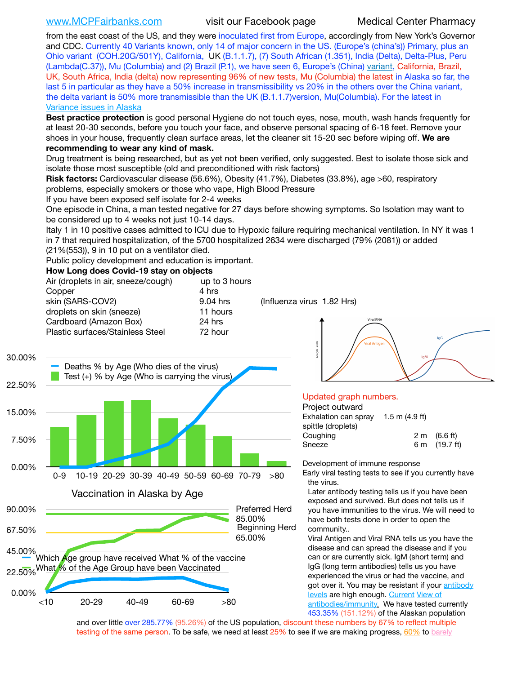[www.MCPFairbanks.com](http://www.MCPFairbanks.com) visit our Facebook page Medical Center Pharmacy

from the east coast of the US, and they were inoculated first from Europe, accordingly from New York's Governor and CDC. Currently 40 Variants known, only 14 of major concern in the US. (Europe's (china's)) Primary, plus an Ohio variant (COH.20G/501Y), California, [UK](https://www.cdc.gov/coronavirus/2019-ncov/transmission/variant-cases.html) (B.1.1.7), (7) South African (1.351), India (Delta), Delta-Plus, Peru (Lambda(C.37)), Mu (Columbia) and (2) Brazil (P.1), we have seen 6, Europe's (China) [variant,](https://www.webmd.com/lung/news/20210318/cdc-who-create-threat-levels-for-covid-variants?ecd=wnl_cvd_031921&ctr=wnl-cvd-031921&mb=kYbf7DsHb7YGjh/1RUkcAW0T6iorImAU1TDZh18RYs0=_Support_titleLink_2) California, Brazil, UK, South Africa, India (delta) now representing 96% of new tests, Mu (Columbia) the latest in Alaska so far, the last 5 in particular as they have a 50% increase in transmissibility vs 20% in the others over the China variant, the delta variant is 50% more transmissible than the UK (B.1.1.7)version, Mu(Columbia). For the latest in [Variance issues in Alaska](https://akvariants.github.io)

**Best practice protection** is good personal Hygiene do not touch eyes, nose, mouth, wash hands frequently for at least 20-30 seconds, before you touch your face, and observe personal spacing of 6-18 feet. Remove your shoes in your house, frequently clean surface areas, let the cleaner sit 15-20 sec before wiping off. **We are recommending to wear any kind of mask.**

Drug treatment is being researched, but as yet not been verified, only suggested. Best to isolate those sick and isolate those most susceptible (old and preconditioned with risk factors)

**Risk factors:** Cardiovascular disease (56.6%), Obesity (41.7%), Diabetes (33.8%), age >60, respiratory problems, especially smokers or those who vape, High Blood Pressure

If you have been exposed self isolate for 2-4 weeks

One episode in China, a man tested negative for 27 days before showing symptoms. So Isolation may want to be considered up to 4 weeks not just 10-14 days.

Italy 1 in 10 positive cases admitted to ICU due to Hypoxic failure requiring mechanical ventilation. In NY it was 1 in 7 that required hospitalization, of the 5700 hospitalized 2634 were discharged (79% (2081)) or added

(21%(553)), 9 in 10 put on a ventilator died.

Public policy development and education is important.

### **How Long does Covid-19 stay on objects**

| Air (droplets in air, sneeze/cough)<br>Copper | up to 3 hours<br>4 hrs |                            |
|-----------------------------------------------|------------------------|----------------------------|
| skin (SARS-COV2)                              | 9.04 hrs               | (Influenza virus 1.82 Hrs) |
| droplets on skin (sneeze)                     | 11 hours               |                            |
| Cardboard (Amazon Box)                        | 24 hrs                 |                            |
| Plastic surfaces/Stainless Steel              | 72 hour                |                            |
|                                               |                        |                            |



<10 20-29 40-49 60-69 >80



### Updated graph numbers.

| Project outward      |                    |                        |
|----------------------|--------------------|------------------------|
| Exhalation can spray | $1.5$ m $(4.9$ ft) |                        |
| spittle (droplets)   |                    |                        |
| Coughing             |                    | $2 \text{ m}$ (6.6 ft) |
| Sneeze               |                    | 6 m (19.7 ft)          |
|                      |                    |                        |

Development of immune response

Early viral testing tests to see if you currently have the virus.

Later antibody testing tells us if you have been exposed and survived. But does not tells us if you have immunities to the virus. We will need to have both tests done in order to open the community..

Viral Antigen and Viral RNA tells us you have the disease and can spread the disease and if you can or are currently sick. IgM (short term) and IgG (long term antibodies) tells us you have experienced the virus or had the vaccine, and got over it. You may be resistant if your antibody [levels](https://www.cdc.gov/coronavirus/2019-ncov/lab/resources/antibody-tests.html) are high enough. [Current](https://l.facebook.com/l.php?u=https://www.itv.com/news/2020-10-26/covid-19-antibody-levels-reduce-over-time-study-finds?fbclid=IwAR3Dapzh1qIH1EIOdUQI2y8THf7jfA4KBCaJz8Qg-8xe1YsrR4nsAHDIXSY&h=AT30nut8pkqp0heVuz5W2rT2WFFm-2Ab52BsJxZZCNlGsX58IpPkuVEPULbIUV_M16MAukx1Kwb657DPXxsgDN1rpOQ4gqBtQsmVYiWpnHPJo2RQsU6CPMd14lgLnQnFWxfVi6zvmw&__tn__=-UK-R&c%5B0%5D=AT1GaRAfR_nGAyqcn7TI1-PpvqOqEKXHnz6TDWvRStMnOSH7boQDvTiwTOc6VId9UES6LKiOmm2m88wKCoolkJyOFvakt2Z1Mw8toYWGGoWW23r0MNVBl7cYJXB_UOvGklNHaNnaNr1_S7NhT3BSykNOBg) [View of](https://www.livescience.com/antibodies.html)  [antibodies/immunity](https://www.livescience.com/antibodies.html)[.](https://www.itv.com/news/2020-10-26/covid-19-antibody-levels-reduce-over-time-study-finds) We have tested currently 453.35% (151.12%) of the Alaskan population

and over little over 285.77% (95.26%) of the US population, discount these numbers by 67% to reflect multiple testing of the same person. To be safe, we need at least 25% to see if we are making progress, [60%](https://www.jhsph.edu/covid-19/articles/achieving-herd-immunity-with-covid19.html) to barely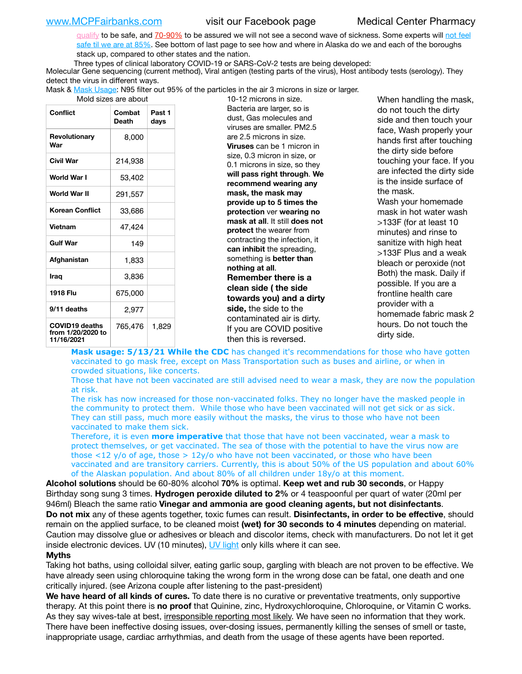[qualify](https://www.nature.com/articles/d41586-020-02948-4) to be safe, and [70-90%](https://www.mayoclinic.org/herd-immunity-and-coronavirus/art-20486808) to be assured we will not see a second wave of sickness. Some experts will not feel [safe til we are at 85%](https://www.bannerhealth.com/healthcareblog/teach-me/what-is-herd-immunity). See bottom of last page to see how and where in Alaska do we and each of the boroughs stack up, compared to other states and the nation.

Three types of clinical laboratory COVID-19 or SARS-CoV-2 tests are being developed:

Molecular Gene sequencing (current method), Viral antigen (testing parts of the virus), Host antibody tests (serology). They detect the virus in different ways.

Mask & [Mask Usage:](https://www.nationalgeographic.com/history/2020/03/how-cities-flattened-curve-1918-spanish-flu-pandemic-coronavirus/) N95 filter out 95% of the particles in the air 3 microns in size or larger.

| Mold sizes are about                                     |                        |                |  |  |  |  |
|----------------------------------------------------------|------------------------|----------------|--|--|--|--|
| Conflict                                                 | Combat<br><b>Death</b> | Past 1<br>days |  |  |  |  |
| Revolutionary<br>War                                     | 8,000                  |                |  |  |  |  |
| Civil War                                                | 214,938                |                |  |  |  |  |
| World War I                                              | 53,402                 |                |  |  |  |  |
| World War II                                             | 291,557                |                |  |  |  |  |
| <b>Korean Conflict</b>                                   | 33,686                 |                |  |  |  |  |
| <b>Vietnam</b>                                           | 47,424                 |                |  |  |  |  |
| <b>Gulf War</b>                                          | 149                    |                |  |  |  |  |
| Afghanistan                                              | 1,833                  |                |  |  |  |  |
| Iraq                                                     | 3,836                  |                |  |  |  |  |
| 1918 Flu                                                 | 675,000                |                |  |  |  |  |
| 9/11 deaths                                              | 2,977                  |                |  |  |  |  |
| <b>COVID19 deaths</b><br>from 1/20/2020 to<br>11/16/2021 | 765,476                | 1,829          |  |  |  |  |

10-12 microns in size. Bacteria are larger, so is dust, Gas molecules and viruses are smaller. PM2.5 are 2.5 microns in size. **Viruses** can be 1 micron in size, 0.3 micron in size, or 0.1 microns in size, so they **will pass right through**. **We recommend wearing any mask, the mask may provide up to 5 times the protection** ver **wearing no mask at all**. It still **does not protect** the wearer from contracting the infection, it **can inhibit** the spreading, something is **better than nothing at all**. **Remember there is a clean side ( the side towards you) and a dirty side,** the side to the contaminated air is dirty. If you are COVID positive then this is reversed.

When handling the mask, do not touch the dirty side and then touch your face, Wash properly your hands first after touching the dirty side before touching your face. If you are infected the dirty side is the inside surface of the mask. Wash your homemade mask in hot water wash >133F (for at least 10 minutes) and rinse to sanitize with high heat >133F Plus and a weak bleach or peroxide (not Both) the mask. Daily if possible. If you are a frontline health care provider with a homemade fabric mask 2 hours. Do not touch the dirty side.

Mask usage: 5/13/21 While the CDC has changed it's recommendations for those who have gotten vaccinated to go mask free, except on Mass Transportation such as buses and airline, or when in crowded situations, like concerts.

Those that have not been vaccinated are still advised need to wear a mask, they are now the population at risk.

The risk has now increased for those non-vaccinated folks. They no longer have the masked people in the community to protect them. While those who have been vaccinated will not get sick or as sick. They can still pass, much more easily without the masks, the virus to those who have not been vaccinated to make them sick.

Therefore, it is even **more imperative** that those that have not been vaccinated, wear a mask to protect themselves, or get vaccinated. The sea of those with the potential to have the virus now are those <12 y/o of age, those >  $12y$ /o who have not been vaccinated, or those who have been vaccinated and are transitory carriers. Currently, this is about 50% of the US population and about 60% of the Alaskan population. And about 80% of all children under 18y/o at this moment.

**Alcohol solutions** should be 60-80% alcohol **70%** is optimal. **Keep wet and rub 30 seconds**, or Happy Birthday song sung 3 times. **Hydrogen peroxide diluted to 2%** or 4 teaspoonful per quart of water (20ml per 946ml) Bleach the same ratio **Vinegar and ammonia are good cleaning agents, but not disinfectants**. **Do not mix** any of these agents together, toxic fumes can result. **Disinfectants, in order to be effective**, should remain on the applied surface, to be cleaned moist **(wet) for 30 seconds to 4 minutes** depending on material. Caution may dissolve glue or adhesives or bleach and discolor items, check with manufacturers. Do not let it get inside electronic devices. UV (10 minutes), [UV light](http://www.docreviews.me/best-uv-boxes-2020/?fbclid=IwAR3bvFtXB48OoBBSvYvTEnKuHNPbipxM6jUo82QUSw9wckxjC7wwRZWabGw) only kills where it can see.

### **Myths**

Taking hot baths, using colloidal silver, eating garlic soup, gargling with bleach are not proven to be effective. We have already seen using chloroquine taking the wrong form in the wrong dose can be fatal, one death and one critically injured. (see Arizona couple after listening to the past-president)

**We have heard of all kinds of cures.** To date there is no curative or preventative treatments, only supportive therapy. At this point there is **no proof** that Quinine, zinc, Hydroxychloroquine, Chloroquine, or Vitamin C works. As they say wives-tale at best, irresponsible reporting most likely. We have seen no information that they work. There have been ineffective dosing issues, over-dosing issues, permanently killing the senses of smell or taste, inappropriate usage, cardiac arrhythmias, and death from the usage of these agents have been reported.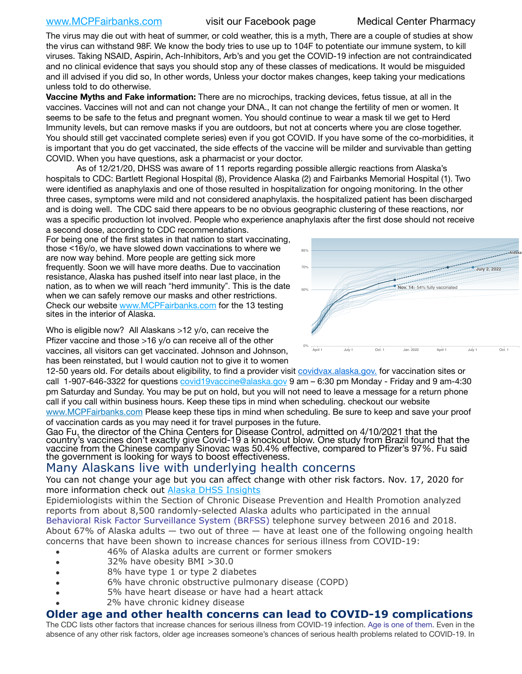# [www.MCPFairbanks.com](http://www.MCPFairbanks.com) visit our Facebook page Medical Center Pharmacy

The virus may die out with heat of summer, or cold weather, this is a myth, There are a couple of studies at show the virus can withstand 98F. We know the body tries to use up to 104F to potentiate our immune system, to kill viruses. Taking NSAID, Aspirin, Ach-Inhibitors, Arb's and you get the COVID-19 infection are not contraindicated and no clinical evidence that says you should stop any of these classes of medications. It would be misguided and ill advised if you did so, In other words, Unless your doctor makes changes, keep taking your medications unless told to do otherwise.

**Vaccine Myths and Fake information:** There are no microchips, tracking devices, fetus tissue, at all in the vaccines. Vaccines will not and can not change your DNA., It can not change the fertility of men or women. It seems to be safe to the fetus and pregnant women. You should continue to wear a mask til we get to Herd Immunity levels, but can remove masks if you are outdoors, but not at concerts where you are close together. You should still get vaccinated complete series) even if you got COVID. If you have some of the co-morbidities, it is important that you do get vaccinated, the side effects of the vaccine will be milder and survivable than getting COVID. When you have questions, ask a pharmacist or your doctor.

As of 12/21/20, DHSS was aware of 11 reports regarding possible allergic reactions from Alaska's hospitals to CDC: Bartlett Regional Hospital (8), Providence Alaska (2) and Fairbanks Memorial Hospital (1). Two were identified as anaphylaxis and one of those resulted in hospitalization for ongoing monitoring. In the other three cases, symptoms were mild and not considered anaphylaxis. the hospitalized patient has been discharged and is doing well. The CDC said there appears to be no obvious geographic clustering of these reactions, nor Was a specific production lot involved. People who experience anaphylaxis after the first dose should not receive a second dose, according to CDC recommendations.

For being one of the first states in that nation to start vaccinating, those <16y/o, we have slowed down vaccinations to where we are now way behind. More people are getting sick more frequently. Soon we will have more deaths. Due to vaccination resistance, Alaska has pushed itself into near last place, in the nation, as to when we will reach "herd immunity". This is the date when we can safely remove our masks and other restrictions. Check our website [www.MCPFairbanks.com](http://www.MCPFairbanks.com) for the 13 testing sites in the interior of Alaska.

Who is eligible now? All Alaskans >12 y/o, can receive the Pfizer vaccine and those >16 y/o can receive all of the other vaccines, all visitors can get vaccinated. Johnson and Johnson, has been reinstated, but I would caution not to give it to women



12-50 years old. For details about eligibility, to find a provider visit [covidvax.alaska.gov.](https://lnks.gd/l/eyJhbGciOiJIUzI1NiJ9.eyJidWxsZXRpbl9saW5rX2lkIjoxMDYsInVyaSI6ImJwMjpjbGljayIsImJ1bGxldGluX2lkIjoiMjAyMTAxMjguMzQwODU3NjEiLCJ1cmwiOiJodHRwOi8vZGhzcy5hbGFza2EuZ292L2RwaC9FcGkvaWQvUGFnZXMvQ09WSUQtMTkvdmFjY2luZS5hc3B4In0.-Xwhl42jAWOMS7ewfS85uxwrwjohCso3Sb81DuDKtxU/s/500544915/br/93796640171-l) for vaccination sites or call 1-907-646-3322 for questions *covid19vaccine@alaska.gov* 9 am – 6:30 pm Monday - Friday and 9 am-4:30 pm Saturday and Sunday. You may be put on hold, but you will not need to leave a message for a return phone call if you call within business hours. Keep these tips in mind when scheduling. checkout our website [www.MCPFairbanks.com](http://www.MCPFairbanks.com) Please keep these tips in mind when scheduling. Be sure to keep and save your proof

of vaccination cards as you may need it for travel purposes in the future.

Gao Fu, the director of the China Centers for Disease Control, admitted on 4/10/2021 that the country's vaccines don't exactly give Covid-19 a knockout blow. One study from Brazil found that the vaccine from the Chinese company Sinovac was 50.4% effective, compared to Pfizer's 97%. Fu said the government is looking for ways to boost effectiveness.

# Many Alaskans live with underlying health concerns

You can not change your age but you can affect change with other risk factors. Nov. 17, 2020 for more information check out **[Alaska DHSS Insights](http://dhss.alaska.gov/dph/Epi/id/Pages/COVID-19/blog/20201117.aspx)** 

Epidemiologists within the Section of Chronic Disease Prevention and Health Promotion analyzed reports from about 8,500 randomly-selected Alaska adults who participated in the annual [Behavioral Risk Factor Surveillance System \(BRFSS\)](http://dhss.alaska.gov/dph/Chronic/Pages/brfss/default.aspx) telephone survey between 2016 and 2018. About 67% of Alaska adults — two out of three — have at least one of the following ongoing health concerns that have been shown to increase chances for serious illness from COVID-19:

- 46% of Alaska adults are current or former smokers
- 32% have obesity BMI >30.0
- 8% have type 1 or type 2 diabetes
- 6% have chronic obstructive pulmonary disease (COPD)
- 5% have heart disease or have had a heart attack
- 2% have chronic kidney disease

# **Older age and other health concerns can lead to COVID-19 complications**

The CDC lists other factors that increase chances for serious illness from COVID-19 infection. [Age is one of them](https://www.cdc.gov/coronavirus/2019-ncov/need-extra-precautions/older-adults.html). Even in the absence of any other risk factors, older age increases someone's chances of serious health problems related to COVID-19. In